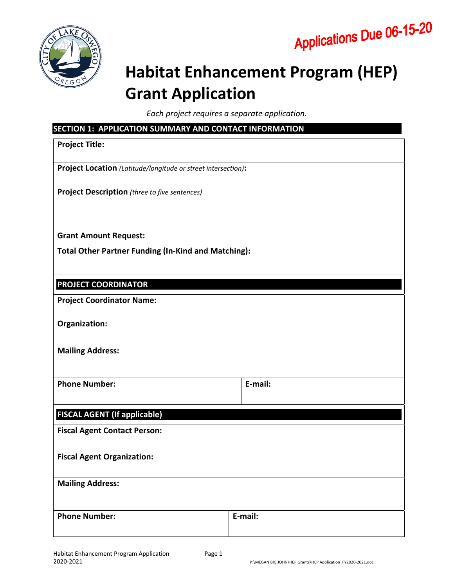



# **Habitat Enhancement Program (HEP) Grant Application**

*Each project requires a separate application.* 

| SECTION 1: APPLICATION SUMMARY AND CONTACT INFORMATION<br><b>Project Title:</b> |  |         |  |  |
|---------------------------------------------------------------------------------|--|---------|--|--|
|                                                                                 |  |         |  |  |
| Project Location (Latitude/longitude or street intersection):                   |  |         |  |  |
| <b>Project Description</b> (three to five sentences)                            |  |         |  |  |
| <b>Grant Amount Request:</b>                                                    |  |         |  |  |
| <b>Total Other Partner Funding (In-Kind and Matching):</b>                      |  |         |  |  |
| <b>PROJECT COORDINATOR</b>                                                      |  |         |  |  |
| <b>Project Coordinator Name:</b>                                                |  |         |  |  |
| Organization:                                                                   |  |         |  |  |
| <b>Mailing Address:</b>                                                         |  |         |  |  |
| <b>Phone Number:</b>                                                            |  | E-mail: |  |  |
| <b>FISCAL AGENT (If applicable)</b>                                             |  |         |  |  |
| <b>Fiscal Agent Contact Person:</b>                                             |  |         |  |  |
| <b>Fiscal Agent Organization:</b>                                               |  |         |  |  |
| <b>Mailing Address:</b>                                                         |  |         |  |  |
| <b>Phone Number:</b>                                                            |  | E-mail: |  |  |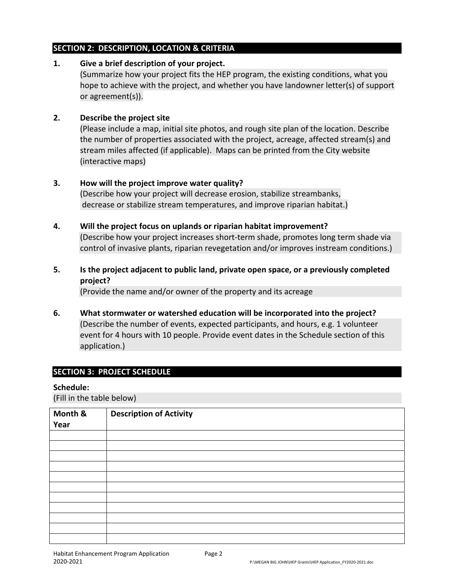### **SECTION 2: DESCRIPTION, LOCATION & CRITERIA**

## **1. Give a brief description of your project.**

(Summarize how your project fits the HEP program, the existing conditions, what you hope to achieve with the project, and whether you have landowner letter(s) of support or agreement(s)).

## **2. Describe the project site**

(Please include a map, initial site photos, and rough site plan of the location. Describe the number of properties associated with the project, acreage, affected stream(s) and stream miles affected (if applicable). Maps can be printed from the City website (interactive maps)

# **3. How will the project improve water quality?**

(Describe how your project will decrease erosion, stabilize streambanks, decrease or stabilize stream temperatures, and improve riparian habitat.)

# **4. Will the project focus on uplands or riparian habitat improvement?**

(Describe how your project increases short‐term shade, promotes long term shade via control of invasive plants, riparian revegetation and/or improves instream conditions.)

# **5. Is the project adjacent to public land, private open space, or a previously completed project?**

(Provide the name and/or owner of the property and its acreage

**6. What stormwater or watershed education will be incorporated into the project?**  (Describe the number of events, expected participants, and hours, e.g. 1 volunteer event for 4 hours with 10 people. Provide event dates in the Schedule section of this application.)

# **SECTION 3: PROJECT SCHEDULE**

## **Schedule:**

(Fill in the table below)

| Month &<br>Year | <b>Description of Activity</b> |
|-----------------|--------------------------------|
|                 |                                |
|                 |                                |
|                 |                                |
|                 |                                |
|                 |                                |
|                 |                                |
|                 |                                |
|                 |                                |
|                 |                                |
|                 |                                |
|                 |                                |